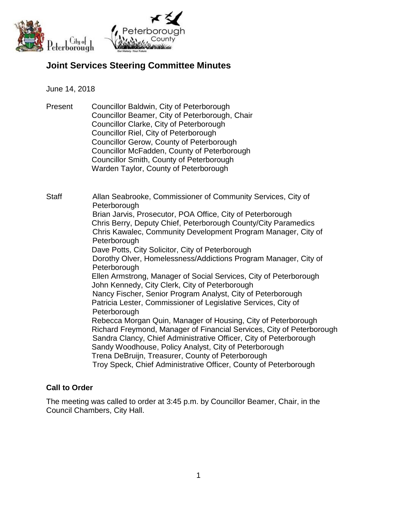

# **Joint Services Steering Committee Minutes**

#### June 14, 2018

Present Councillor Baldwin, City of Peterborough Councillor Beamer, City of Peterborough, Chair Councillor Clarke, City of Peterborough Councillor Riel, City of Peterborough Councillor Gerow, County of Peterborough Councillor McFadden, County of Peterborough Councillor Smith, County of Peterborough Warden Taylor, County of Peterborough

Staff Allan Seabrooke, Commissioner of Community Services, City of **Peterborough** Brian Jarvis, Prosecutor, POA Office, City of Peterborough Chris Berry, Deputy Chief, Peterborough County/City Paramedics Chris Kawalec, Community Development Program Manager, City of **Peterborough** Dave Potts, City Solicitor, City of Peterborough Dorothy Olver, Homelessness/Addictions Program Manager, City of **Peterborough** Ellen Armstrong, Manager of Social Services, City of Peterborough John Kennedy, City Clerk, City of Peterborough Nancy Fischer, Senior Program Analyst, City of Peterborough Patricia Lester, Commissioner of Legislative Services, City of **Peterborough** Rebecca Morgan Quin, Manager of Housing, City of Peterborough Richard Freymond, Manager of Financial Services, City of Peterborough Sandra Clancy, Chief Administrative Officer, City of Peterborough Sandy Woodhouse, Policy Analyst, City of Peterborough Trena DeBruijn, Treasurer, County of Peterborough Troy Speck, Chief Administrative Officer, County of Peterborough

## **Call to Order**

The meeting was called to order at 3:45 p.m. by Councillor Beamer, Chair, in the Council Chambers, City Hall.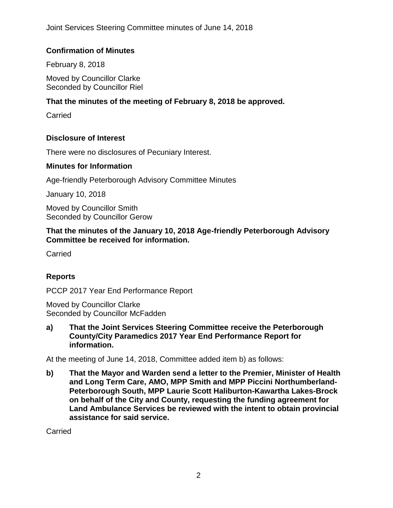## **Confirmation of Minutes**

February 8, 2018

Moved by Councillor Clarke Seconded by Councillor Riel

### **That the minutes of the meeting of February 8, 2018 be approved.**

Carried

### **Disclosure of Interest**

There were no disclosures of Pecuniary Interest.

#### **Minutes for Information**

Age-friendly Peterborough Advisory Committee Minutes

January 10, 2018

Moved by Councillor Smith Seconded by Councillor Gerow

**That the minutes of the January 10, 2018 Age-friendly Peterborough Advisory Committee be received for information.**

**Carried** 

## **Reports**

PCCP 2017 Year End Performance Report

Moved by Councillor Clarke Seconded by Councillor McFadden

**a) That the Joint Services Steering Committee receive the Peterborough County/City Paramedics 2017 Year End Performance Report for information.**

At the meeting of June 14, 2018, Committee added item b) as follows:

**b) That the Mayor and Warden send a letter to the Premier, Minister of Health and Long Term Care, AMO, MPP Smith and MPP Piccini Northumberland-Peterborough South, MPP Laurie Scott Haliburton-Kawartha Lakes-Brock on behalf of the City and County, requesting the funding agreement for Land Ambulance Services be reviewed with the intent to obtain provincial assistance for said service.**

**Carried**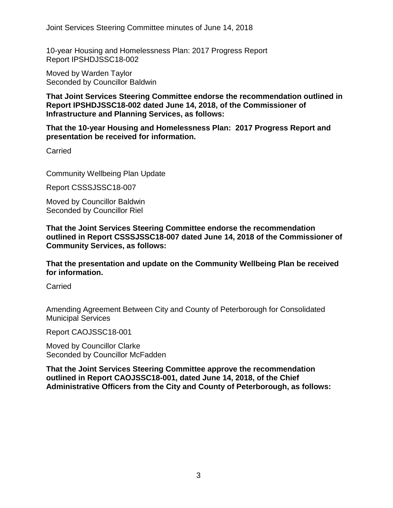10-year Housing and Homelessness Plan: 2017 Progress Report Report IPSHDJSSC18-002

Moved by Warden Taylor Seconded by Councillor Baldwin

**That Joint Services Steering Committee endorse the recommendation outlined in Report IPSHDJSSC18-002 dated June 14, 2018, of the Commissioner of Infrastructure and Planning Services, as follows:**

**That the 10-year Housing and Homelessness Plan: 2017 Progress Report and presentation be received for information.**

**Carried** 

Community Wellbeing Plan Update

Report CSSSJSSC18-007

Moved by Councillor Baldwin Seconded by Councillor Riel

**That the Joint Services Steering Committee endorse the recommendation outlined in Report CSSSJSSC18-007 dated June 14, 2018 of the Commissioner of Community Services, as follows:**

**That the presentation and update on the Community Wellbeing Plan be received for information.**

**Carried** 

Amending Agreement Between City and County of Peterborough for Consolidated Municipal Services

Report CAOJSSC18-001

Moved by Councillor Clarke Seconded by Councillor McFadden

**That the Joint Services Steering Committee approve the recommendation outlined in Report CAOJSSC18-001, dated June 14, 2018, of the Chief Administrative Officers from the City and County of Peterborough, as follows:**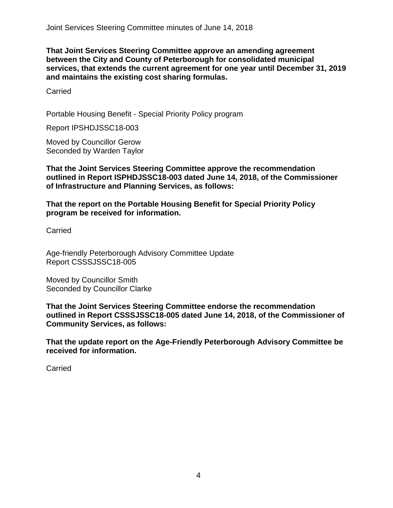**That Joint Services Steering Committee approve an amending agreement between the City and County of Peterborough for consolidated municipal services, that extends the current agreement for one year until December 31, 2019 and maintains the existing cost sharing formulas.**

Carried

Portable Housing Benefit - Special Priority Policy program

Report IPSHDJSSC18-003

Moved by Councillor Gerow Seconded by Warden Taylor

**That the Joint Services Steering Committee approve the recommendation outlined in Report ISPHDJSSC18-003 dated June 14, 2018, of the Commissioner of Infrastructure and Planning Services, as follows:**

**That the report on the Portable Housing Benefit for Special Priority Policy program be received for information.**

Carried

Age-friendly Peterborough Advisory Committee Update Report CSSSJSSC18-005

Moved by Councillor Smith Seconded by Councillor Clarke

**That the Joint Services Steering Committee endorse the recommendation outlined in Report CSSSJSSC18-005 dated June 14, 2018, of the Commissioner of Community Services, as follows:**

**That the update report on the Age-Friendly Peterborough Advisory Committee be received for information.**

**Carried**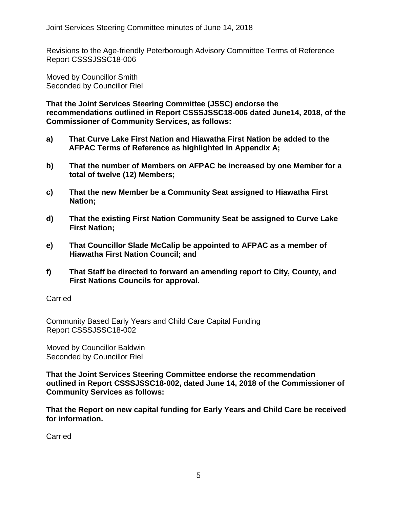Revisions to the Age-friendly Peterborough Advisory Committee Terms of Reference Report CSSSJSSC18-006

Moved by Councillor Smith Seconded by Councillor Riel

**That the Joint Services Steering Committee (JSSC) endorse the recommendations outlined in Report CSSSJSSC18-006 dated June14, 2018, of the Commissioner of Community Services, as follows:**

- **a) That Curve Lake First Nation and Hiawatha First Nation be added to the AFPAC Terms of Reference as highlighted in Appendix A;**
- **b) That the number of Members on AFPAC be increased by one Member for a total of twelve (12) Members;**
- **c) That the new Member be a Community Seat assigned to Hiawatha First Nation;**
- **d) That the existing First Nation Community Seat be assigned to Curve Lake First Nation;**
- **e) That Councillor Slade McCalip be appointed to AFPAC as a member of Hiawatha First Nation Council; and**
- **f) That Staff be directed to forward an amending report to City, County, and First Nations Councils for approval.**

## Carried

Community Based Early Years and Child Care Capital Funding Report CSSSJSSC18-002

Moved by Councillor Baldwin Seconded by Councillor Riel

**That the Joint Services Steering Committee endorse the recommendation outlined in Report CSSSJSSC18-002, dated June 14, 2018 of the Commissioner of Community Services as follows:**

**That the Report on new capital funding for Early Years and Child Care be received for information.**

Carried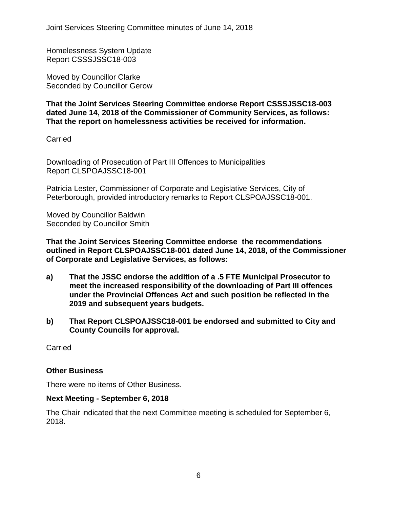Homelessness System Update Report CSSSJSSC18-003

Moved by Councillor Clarke Seconded by Councillor Gerow

**That the Joint Services Steering Committee endorse Report CSSSJSSC18-003 dated June 14, 2018 of the Commissioner of Community Services, as follows: That the report on homelessness activities be received for information.**

Carried

Downloading of Prosecution of Part III Offences to Municipalities Report CLSPOAJSSC18-001

Patricia Lester, Commissioner of Corporate and Legislative Services, City of Peterborough, provided introductory remarks to Report CLSPOAJSSC18-001.

Moved by Councillor Baldwin Seconded by Councillor Smith

**That the Joint Services Steering Committee endorse the recommendations outlined in Report CLSPOAJSSC18-001 dated June 14, 2018, of the Commissioner of Corporate and Legislative Services, as follows:**

- **a) That the JSSC endorse the addition of a .5 FTE Municipal Prosecutor to meet the increased responsibility of the downloading of Part III offences under the Provincial Offences Act and such position be reflected in the 2019 and subsequent years budgets.**
- **b) That Report CLSPOAJSSC18-001 be endorsed and submitted to City and County Councils for approval.**

Carried

#### **Other Business**

There were no items of Other Business.

#### **Next Meeting - September 6, 2018**

The Chair indicated that the next Committee meeting is scheduled for September 6, 2018.